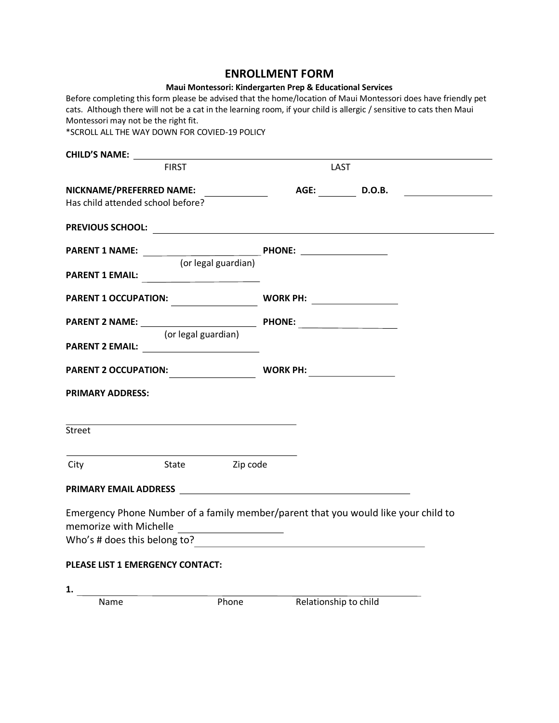#### **ENROLLMENT FORM**

| Maui Montessori: Kindergarten Prep & Educational Services |  |  |  |
|-----------------------------------------------------------|--|--|--|
|-----------------------------------------------------------|--|--|--|

Before completing this form please be advised that the home/location of Maui Montessori does have friendly pet cats. Although there will not be a cat in the learning room, if your child is allergic / sensitive to cats then Maui Montessori may not be the right fit. \*SCROLL ALL THE WAY DOWN FOR COVIED-19 POLICY

| <b>CHILD'S NAME:</b>                                                        |                                                                                                                                     |
|-----------------------------------------------------------------------------|-------------------------------------------------------------------------------------------------------------------------------------|
| <b>FIRST</b>                                                                | LAST                                                                                                                                |
| NICKNAME/PREFERRED NAME: _____________<br>Has child attended school before? | AGE: D.O.B.<br><u> 1980 - Jan Samuel III, politik eta politik eta politik eta politik eta politik eta politik eta politik eta p</u> |
|                                                                             |                                                                                                                                     |
|                                                                             | (or legal guardian)                                                                                                                 |
| PARENT 1 EMAIL:                                                             |                                                                                                                                     |
| <b>PARENT 1 OCCUPATION:</b>                                                 | <b>WORK PH:</b> ___________________                                                                                                 |
| (or legal guardian)                                                         |                                                                                                                                     |
| PARENT 2 EMAIL: PARENT 2 EMAIL:                                             |                                                                                                                                     |
|                                                                             | <b>WORK PH:</b>                                                                                                                     |
| <b>PRIMARY ADDRESS:</b>                                                     |                                                                                                                                     |
| <b>Street</b>                                                               |                                                                                                                                     |
| City                                                                        | State Zip code                                                                                                                      |
|                                                                             | <b>PRIMARY EMAIL ADDRESS Example 2020</b>                                                                                           |
| memorize with Michelle                                                      | Emergency Phone Number of a family member/parent that you would like your child to                                                  |
|                                                                             |                                                                                                                                     |
| PLEASE LIST 1 EMERGENCY CONTACT:                                            |                                                                                                                                     |
| 1.                                                                          |                                                                                                                                     |

Name Phone Relationship to child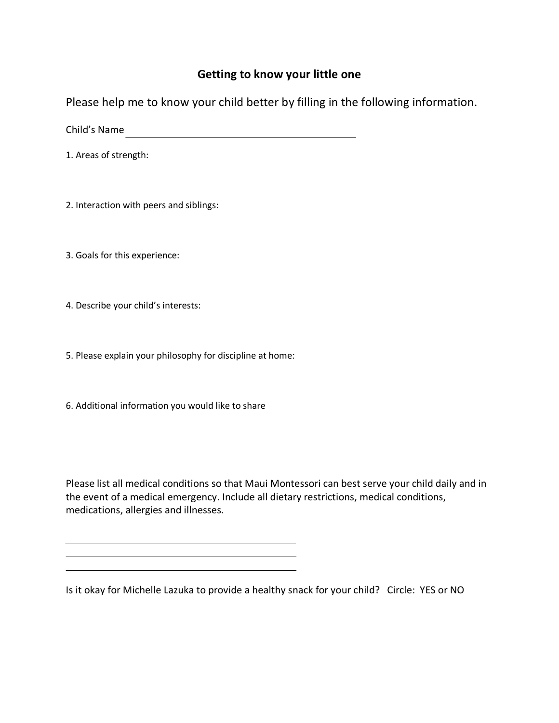## **Getting to know your little one**

Please help me to know your child better by filling in the following information.

Child's Name

1. Areas of strength:

2. Interaction with peers and siblings:

3. Goals for this experience:

4. Describe your child's interests:

5. Please explain your philosophy for discipline at home:

<u> 1989 - Johann Stoff, deutscher Stoffen und der Stoffen und der Stoffen und der Stoffen und der Stoffen und der</u> <u> 1989 - Johann Stoff, deutscher Stoff, der Stoff, der Stoff, der Stoff, der Stoff, der Stoff, der Stoff, der S</u>

6. Additional information you would like to share

Please list all medical conditions so that Maui Montessori can best serve your child daily and in the event of a medical emergency. Include all dietary restrictions, medical conditions, medications, allergies and illnesses.

Is it okay for Michelle Lazuka to provide a healthy snack for your child? Circle: YES or NO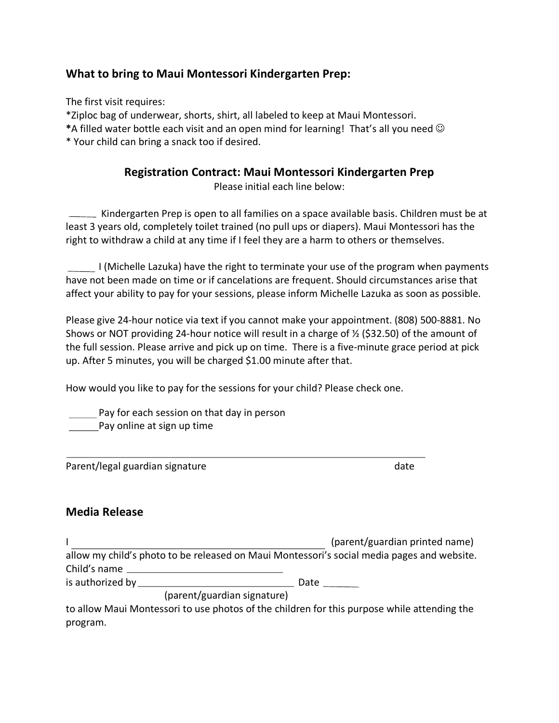### **What to bring to Maui Montessori Kindergarten Prep:**

The first visit requires:

\*Ziploc bag of underwear, shorts, shirt, all labeled to keep at Maui Montessori.

\*A filled water bottle each visit and an open mind for learning! That's all you need  $\odot$ 

\* Your child can bring a snack too if desired.

## **Registration Contract: Maui Montessori Kindergarten Prep**

Please initial each line below:

Kindergarten Prep is open to all families on a space available basis. Children must be at least 3 years old, completely toilet trained (no pull ups or diapers). Maui Montessori has the right to withdraw a child at any time if I feel they are a harm to others or themselves.

I (Michelle Lazuka) have the right to terminate your use of the program when payments have not been made on time or if cancelations are frequent. Should circumstances arise that affect your ability to pay for your sessions, please inform Michelle Lazuka as soon as possible.

Please give 24-hour notice via text if you cannot make your appointment. (808) 500-8881. No Shows or NOT providing 24-hour notice will result in a charge of  $\frac{1}{2}$  (\$32.50) of the amount of the full session. Please arrive and pick up on time. There is a five-minute grace period at pick up. After 5 minutes, you will be charged \$1.00 minute after that.

How would you like to pay for the sessions for your child? Please check one.

Pay for each session on that day in person Pay online at sign up time

Parent/legal guardian signature date date date

### **Media Release**

I (parent/guardian printed name) allow my child's photo to be released on Maui Montessori's social media pages and website. Child's name is authorized by Date

(parent/guardian signature)

to allow Maui Montessori to use photos of the children for this purpose while attending the program.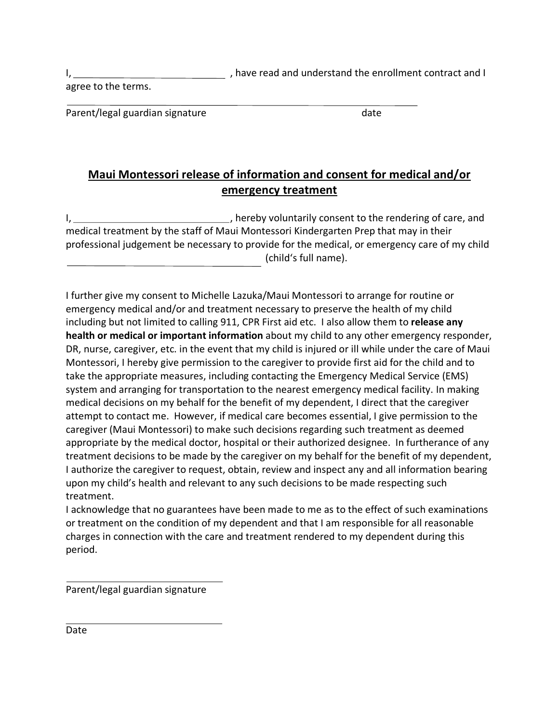I, 1, 1, 1, 1, have read and understand the enrollment contract and I

agree to the terms.

Parent/legal guardian signature date date

# **Maui Montessori release of information and consent for medical and/or emergency treatment**

I, , hereby voluntarily consent to the rendering of care, and medical treatment by the staff of Maui Montessori Kindergarten Prep that may in their professional judgement be necessary to provide for the medical, or emergency care of my child (childʻs full name).

I further give my consent to Michelle Lazuka/Maui Montessori to arrange for routine or emergency medical and/or and treatment necessary to preserve the health of my child including but not limited to calling 911, CPR First aid etc. I also allow them to **release any health or medical or important information** about my child to any other emergency responder, DR, nurse, caregiver, etc. in the event that my child is injured or ill while under the care of Maui Montessori, I hereby give permission to the caregiver to provide first aid for the child and to take the appropriate measures, including contacting the Emergency Medical Service (EMS) system and arranging for transportation to the nearest emergency medical facility. In making medical decisions on my behalf for the benefit of my dependent, I direct that the caregiver attempt to contact me. However, if medical care becomes essential, I give permission to the caregiver (Maui Montessori) to make such decisions regarding such treatment as deemed appropriate by the medical doctor, hospital or their authorized designee. In furtherance of any treatment decisions to be made by the caregiver on my behalf for the benefit of my dependent, I authorize the caregiver to request, obtain, review and inspect any and all information bearing upon my child's health and relevant to any such decisions to be made respecting such treatment.

I acknowledge that no guarantees have been made to me as to the effect of such examinations or treatment on the condition of my dependent and that I am responsible for all reasonable charges in connection with the care and treatment rendered to my dependent during this period.

Parent/legal guardian signature

Date